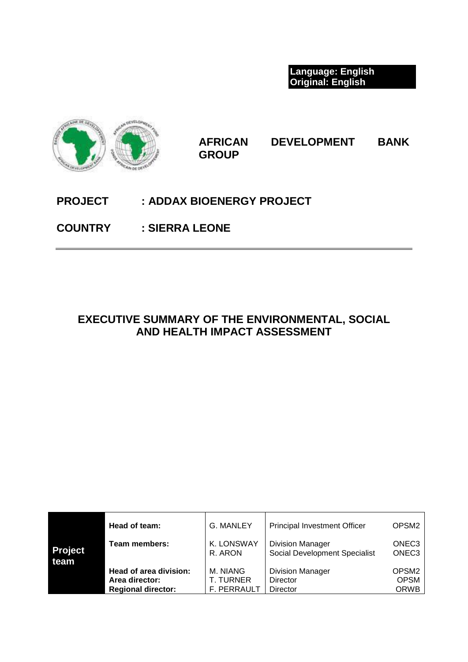**Language: English Original: English**



**AFRICAN DEVELOPMENT BANK GROUP**

# **PROJECT : ADDAX BIOENERGY PROJECT**

**COUNTRY : SIERRA LEONE** 

# **EXECUTIVE SUMMARY OF THE ENVIRONMENTAL, SOCIAL AND HEALTH IMPACT ASSESSMENT**

|                | Head of team:             | <b>G. MANLEY</b>   | <b>Principal Investment Officer</b> | OPSM <sub>2</sub> |
|----------------|---------------------------|--------------------|-------------------------------------|-------------------|
| <b>Project</b> | Team members:             | K. LONSWAY         | <b>Division Manager</b>             | ONEC <sub>3</sub> |
| team           |                           | R. ARON            | Social Development Specialist       | ONEC <sub>3</sub> |
|                | Head of area division:    | M. NIANG           | <b>Division Manager</b>             | OPSM <sub>2</sub> |
|                | Area director:            | T. TURNER          | Director                            | <b>OPSM</b>       |
|                | <b>Regional director:</b> | <b>F. PERRAULT</b> | Director                            | <b>ORWB</b>       |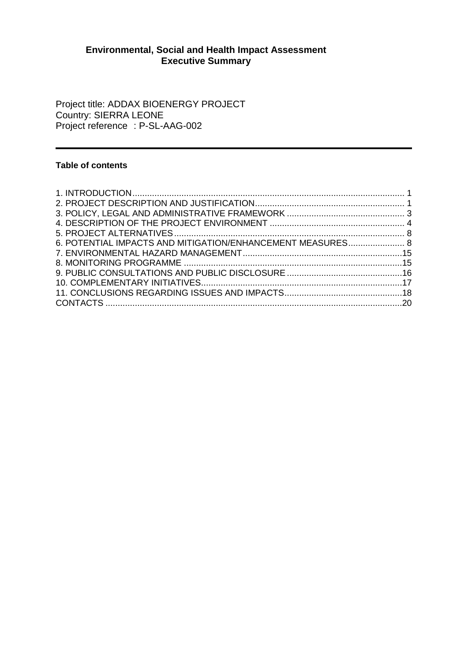# **Environmental, Social and Health Impact Assessment Executive Summary**

Project title: ADDAX BIOENERGY PROJECT Country: SIERRA LEONE Project reference : P-SL-AAG-002

# **Table of contents**

| 6. POTENTIAL IMPACTS AND MITIGATION/ENHANCEMENT MEASURES 8 |  |
|------------------------------------------------------------|--|
|                                                            |  |
|                                                            |  |
|                                                            |  |
|                                                            |  |
|                                                            |  |
|                                                            |  |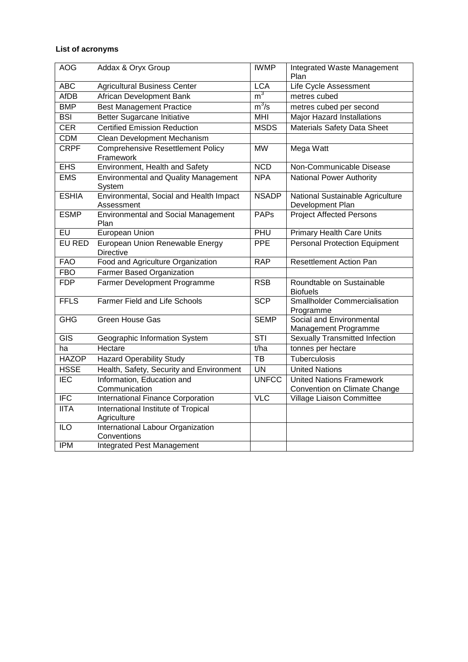# **List of acronyms**

| <b>AOG</b>     | Addax & Oryx Group                                    | <b>IWMP</b>              | Integrated Waste Management<br>Plan                             |
|----------------|-------------------------------------------------------|--------------------------|-----------------------------------------------------------------|
| <b>ABC</b>     | <b>Agricultural Business Center</b>                   | <b>LCA</b>               | Life Cycle Assessment                                           |
| <b>AfDB</b>    | African Development Bank                              | m <sup>3</sup>           | metres cubed                                                    |
| <b>BMP</b>     | <b>Best Management Practice</b>                       | $m^3/s$                  | metres cubed per second                                         |
| BSI            | Better Sugarcane Initiative                           | <b>MHI</b>               | <b>Major Hazard Installations</b>                               |
| <b>CER</b>     | <b>Certified Emission Reduction</b>                   | <b>MSDS</b>              | Materials Safety Data Sheet                                     |
| <b>CDM</b>     | Clean Development Mechanism                           |                          |                                                                 |
| <b>CRPF</b>    | <b>Comprehensive Resettlement Policy</b><br>Framework | <b>MW</b>                | Mega Watt                                                       |
| <b>EHS</b>     | Environment, Health and Safety                        | <b>NCD</b>               | Non-Communicable Disease                                        |
| <b>EMS</b>     | <b>Environmental and Quality Management</b><br>System | <b>NPA</b>               | National Power Authority                                        |
| <b>ESHIA</b>   | Environmental, Social and Health Impact<br>Assessment | <b>NSADP</b>             | National Sustainable Agriculture<br>Development Plan            |
| <b>ESMP</b>    | <b>Environmental and Social Management</b><br>Plan    | <b>PAPs</b>              | <b>Project Affected Persons</b>                                 |
| E <sub>U</sub> | <b>European Union</b>                                 | PHU                      | <b>Primary Health Care Units</b>                                |
| <b>EU RED</b>  | European Union Renewable Energy<br><b>Directive</b>   | <b>PPE</b>               | <b>Personal Protection Equipment</b>                            |
| <b>FAO</b>     | Food and Agriculture Organization                     | <b>RAP</b>               | <b>Resettlement Action Pan</b>                                  |
| <b>FBO</b>     | Farmer Based Organization                             |                          |                                                                 |
| <b>FDP</b>     | Farmer Development Programme                          | <b>RSB</b>               | Roundtable on Sustainable<br><b>Biofuels</b>                    |
| <b>FFLS</b>    | <b>Farmer Field and Life Schools</b>                  | <b>SCP</b>               | <b>Smallholder Commercialisation</b><br>Programme               |
| <b>GHG</b>     | <b>Green House Gas</b>                                | <b>SEMP</b>              | Social and Environmental<br>Management Programme                |
| <b>GIS</b>     | Geographic Information System                         | STI                      | <b>Sexually Transmitted Infection</b>                           |
| ha             | Hectare                                               | t/ha                     | tonnes per hectare                                              |
| <b>HAZOP</b>   | <b>Hazard Operability Study</b>                       | $\overline{AB}$          | Tuberculosis                                                    |
| <b>HSSE</b>    | Health, Safety, Security and Environment              | $\overline{\mathsf{UN}}$ | <b>United Nations</b>                                           |
| <b>IEC</b>     | Information, Education and<br>Communication           | <b>UNFCC</b>             | <b>United Nations Framework</b><br>Convention on Climate Change |
| IFC            | <b>International Finance Corporation</b>              | <b>VLC</b>               | Village Liaison Committee                                       |
| <b>IITA</b>    | International Institute of Tropical<br>Agriculture    |                          |                                                                 |
| <b>ILO</b>     | International Labour Organization<br>Conventions      |                          |                                                                 |
| <b>IPM</b>     | Integrated Pest Management                            |                          |                                                                 |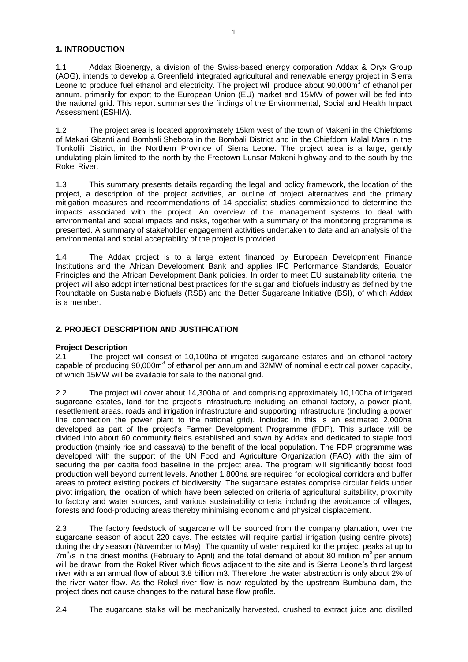# <span id="page-3-0"></span>**1. INTRODUCTION**

1.1 Addax Bioenergy, a division of the Swiss-based energy corporation Addax & Oryx Group (AOG), intends to develop a Greenfield integrated agricultural and renewable energy project in Sierra Leone to produce fuel ethanol and electricity. The project will produce about 90,000m<sup>3</sup> of ethanol per annum, primarily for export to the European Union (EU) market and 15MW of power will be fed into the national grid. This report summarises the findings of the Environmental, Social and Health Impact Assessment (ESHIA).

1.2 The project area is located approximately 15km west of the town of Makeni in the Chiefdoms of Makari Gbanti and Bombali Shebora in the Bombali District and in the Chiefdom Malal Mara in the Tonkolili District, in the Northern Province of Sierra Leone. The project area is a large, gently undulating plain limited to the north by the Freetown-Lunsar-Makeni highway and to the south by the Rokel River.

1.3 This summary presents details regarding the legal and policy framework, the location of the project, a description of the project activities, an outline of project alternatives and the primary mitigation measures and recommendations of 14 specialist studies commissioned to determine the impacts associated with the project. An overview of the management systems to deal with environmental and social impacts and risks, together with a summary of the monitoring programme is presented. A summary of stakeholder engagement activities undertaken to date and an analysis of the environmental and social acceptability of the project is provided.

1.4 The Addax project is to a large extent financed by European Development Finance Institutions and the African Development Bank and applies IFC Performance Standards, Equator Principles and the African Development Bank policies. In order to meet EU sustainability criteria, the project will also adopt international best practices for the sugar and biofuels industry as defined by the Roundtable on Sustainable Biofuels (RSB) and the Better Sugarcane Initiative (BSI), of which Addax is a member.

# <span id="page-3-1"></span>**2. PROJECT DESCRIPTION AND JUSTIFICATION**

#### **Project Description**

2.1 The project will consist of 10,100ha of irrigated sugarcane estates and an ethanol factory capable of producing 90,000m<sup>3</sup> of ethanol per annum and 32MW of nominal electrical power capacity, of which 15MW will be available for sale to the national grid.

2.2 The project will cover about 14,300ha of land comprising approximately 10,100ha of irrigated sugarcane estates, land for the project's infrastructure including an ethanol factory, a power plant, resettlement areas, roads and irrigation infrastructure and supporting infrastructure (including a power line connection the power plant to the national grid). Included in this is an estimated 2,000ha developed as part of the project's Farmer Development Programme (FDP). This surface will be divided into about 60 community fields established and sown by Addax and dedicated to staple food production (mainly rice and cassava) to the benefit of the local population. The FDP programme was developed with the support of the UN Food and Agriculture Organization (FAO) with the aim of securing the per capita food baseline in the project area. The program will significantly boost food production well beyond current levels. Another 1,800ha are required for ecological corridors and buffer areas to protect existing pockets of biodiversity. The sugarcane estates comprise circular fields under pivot irrigation, the location of which have been selected on criteria of agricultural suitability, proximity to factory and water sources, and various sustainability criteria including the avoidance of villages, forests and food-producing areas thereby minimising economic and physical displacement.

2.3 The factory feedstock of sugarcane will be sourced from the company plantation, over the sugarcane season of about 220 days. The estates will require partial irrigation (using centre pivots) during the dry season (November to May). The quantity of water required for the project peaks at up to  $7m<sup>3</sup>/s$  in the driest months (February to April) and the total demand of about 80 million  $m<sup>3</sup>$  per annum will be drawn from the Rokel River which flows adiacent to the site and is Sierra Leone's third largest river with a an annual flow of about 3.8 billion m3. Therefore the water abstraction is only about 2% of the river water flow. As the Rokel river flow is now regulated by the upstream Bumbuna dam, the project does not cause changes to the natural base flow profile.

2.4 The sugarcane stalks will be mechanically harvested, crushed to extract juice and distilled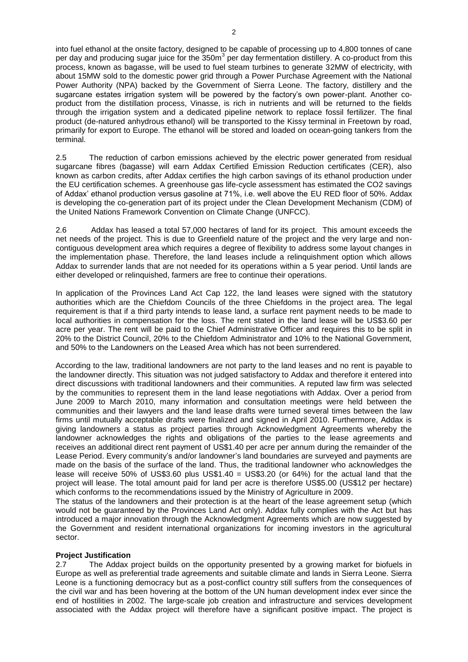into fuel ethanol at the onsite factory, designed to be capable of processing up to 4,800 tonnes of cane per day and producing sugar juice for the  $350m<sup>3</sup>$  per day fermentation distillery. A co-product from this process, known as bagasse, will be used to fuel steam turbines to generate 32MW of electricity, with about 15MW sold to the domestic power grid through a Power Purchase Agreement with the National Power Authority (NPA) backed by the Government of Sierra Leone. The factory, distillery and the sugarcane estates irrigation system will be powered by the factory"s own power-plant. Another coproduct from the distillation process, Vinasse, is rich in nutrients and will be returned to the fields through the irrigation system and a dedicated pipeline network to replace fossil fertilizer. The final product (de-natured anhydrous ethanol) will be transported to the Kissy terminal in Freetown by road, primarily for export to Europe. The ethanol will be stored and loaded on ocean-going tankers from the terminal.

2.5 The reduction of carbon emissions achieved by the electric power generated from residual sugarcane fibres (bagasse) will earn Addax Certified Emission Reduction certificates (CER), also known as carbon credits, after Addax certifies the high carbon savings of its ethanol production under the EU certification schemes. A greenhouse gas life-cycle assessment has estimated the CO2 savings of Addax" ethanol production versus gasoline at 71%, i.e. well above the EU RED floor of 50%. Addax is developing the co-generation part of its project under the Clean Development Mechanism (CDM) of the United Nations Framework Convention on Climate Change (UNFCC).

2.6 Addax has leased a total 57,000 hectares of land for its project. This amount exceeds the net needs of the project. This is due to Greenfield nature of the project and the very large and noncontiguous development area which requires a degree of flexibility to address some layout changes in the implementation phase. Therefore, the land leases include a relinquishment option which allows Addax to surrender lands that are not needed for its operations within a 5 year period. Until lands are either developed or relinquished, farmers are free to continue their operations.

In application of the Provinces Land Act Cap 122, the land leases were signed with the statutory authorities which are the Chiefdom Councils of the three Chiefdoms in the project area. The legal requirement is that if a third party intends to lease land, a surface rent payment needs to be made to local authorities in compensation for the loss. The rent stated in the land lease will be US\$3.60 per acre per year. The rent will be paid to the Chief Administrative Officer and requires this to be split in 20% to the District Council, 20% to the Chiefdom Administrator and 10% to the National Government, and 50% to the Landowners on the Leased Area which has not been surrendered.

According to the law, traditional landowners are not party to the land leases and no rent is payable to the landowner directly. This situation was not judged satisfactory to Addax and therefore it entered into direct discussions with traditional landowners and their communities. A reputed law firm was selected by the communities to represent them in the land lease negotiations with Addax. Over a period from June 2009 to March 2010, many information and consultation meetings were held between the communities and their lawyers and the land lease drafts were turned several times between the law firms until mutually acceptable drafts were finalized and signed in April 2010. Furthermore, Addax is giving landowners a status as project parties through Acknowledgment Agreements whereby the landowner acknowledges the rights and obligations of the parties to the lease agreements and receives an additional direct rent payment of US\$1.40 per acre per annum during the remainder of the Lease Period. Every community"s and/or landowner"s land boundaries are surveyed and payments are made on the basis of the surface of the land. Thus, the traditional landowner who acknowledges the lease will receive 50% of US\$3.60 plus US\$1.40 = US\$3.20 (or 64%) for the actual land that the project will lease. The total amount paid for land per acre is therefore US\$5.00 (US\$12 per hectare) which conforms to the recommendations issued by the Ministry of Agriculture in 2009.

The status of the landowners and their protection is at the heart of the lease agreement setup (which would not be guaranteed by the Provinces Land Act only). Addax fully complies with the Act but has introduced a major innovation through the Acknowledgment Agreements which are now suggested by the Government and resident international organizations for incoming investors in the agricultural sector.

#### **Project Justification**

2.7 The Addax project builds on the opportunity presented by a growing market for biofuels in Europe as well as preferential trade agreements and suitable climate and lands in Sierra Leone. Sierra Leone is a functioning democracy but as a post-conflict country still suffers from the consequences of the civil war and has been hovering at the bottom of the UN human development index ever since the end of hostilities in 2002. The large-scale job creation and infrastructure and services development associated with the Addax project will therefore have a significant positive impact. The project is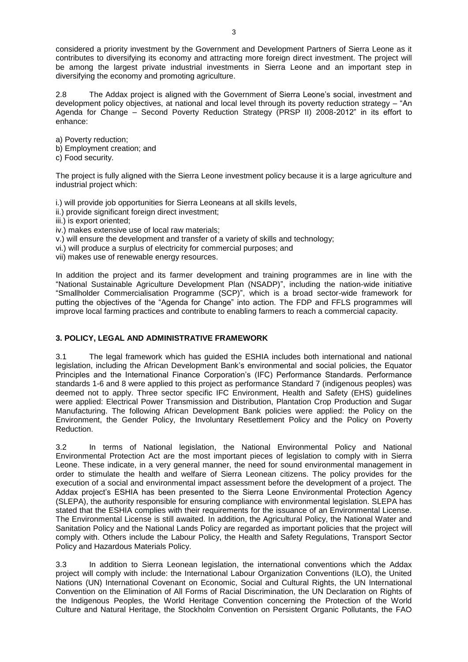considered a priority investment by the Government and Development Partners of Sierra Leone as it contributes to diversifying its economy and attracting more foreign direct investment. The project will be among the largest private industrial investments in Sierra Leone and an important step in diversifying the economy and promoting agriculture.

2.8 The Addax project is aligned with the Government of Sierra Leone"s social, investment and development policy objectives, at national and local level through its poverty reduction strategy – "An Agenda for Change – Second Poverty Reduction Strategy (PRSP II) 2008-2012" in its effort to enhance:

a) Poverty reduction;

- b) Employment creation; and
- c) Food security.

The project is fully aligned with the Sierra Leone investment policy because it is a large agriculture and industrial project which:

i.) will provide job opportunities for Sierra Leoneans at all skills levels,

- ii.) provide significant foreign direct investment;
- iii.) is export oriented;
- iv.) makes extensive use of local raw materials;
- v.) will ensure the development and transfer of a variety of skills and technology;
- vi.) will produce a surplus of electricity for commercial purposes; and

vii) makes use of renewable energy resources.

In addition the project and its farmer development and training programmes are in line with the "National Sustainable Agriculture Development Plan (NSADP)", including the nation-wide initiative "Smallholder Commercialisation Programme (SCP)", which is a broad sector-wide framework for putting the objectives of the "Agenda for Change" into action. The FDP and FFLS programmes will improve local farming practices and contribute to enabling farmers to reach a commercial capacity.

# <span id="page-5-0"></span>**3. POLICY, LEGAL AND ADMINISTRATIVE FRAMEWORK**

3.1 The legal framework which has guided the ESHIA includes both international and national legislation, including the African Development Bank"s environmental and social policies, the Equator Principles and the International Finance Corporation"s (IFC) Performance Standards. Performance standards 1-6 and 8 were applied to this project as performance Standard 7 (indigenous peoples) was deemed not to apply. Three sector specific IFC Environment, Health and Safety (EHS) guidelines were applied: Electrical Power Transmission and Distribution, Plantation Crop Production and Sugar Manufacturing. The following African Development Bank policies were applied: the Policy on the Environment, the Gender Policy, the Involuntary Resettlement Policy and the Policy on Poverty Reduction.

3.2 In terms of National legislation, the National Environmental Policy and National Environmental Protection Act are the most important pieces of legislation to comply with in Sierra Leone. These indicate, in a very general manner, the need for sound environmental management in order to stimulate the health and welfare of Sierra Leonean citizens. The policy provides for the execution of a social and environmental impact assessment before the development of a project. The Addax project's ESHIA has been presented to the Sierra Leone Environmental Protection Agency (SLEPA), the authority responsible for ensuring compliance with environmental legislation. SLEPA has stated that the ESHIA complies with their requirements for the issuance of an Environmental License. The Environmental License is still awaited. In addition, the Agricultural Policy, the National Water and Sanitation Policy and the National Lands Policy are regarded as important policies that the project will comply with. Others include the Labour Policy, the Health and Safety Regulations, Transport Sector Policy and Hazardous Materials Policy.

3.3 In addition to Sierra Leonean legislation, the international conventions which the Addax project will comply with include: the International Labour Organization Conventions (ILO), the United Nations (UN) International Covenant on Economic, Social and Cultural Rights, the UN International Convention on the Elimination of All Forms of Racial Discrimination, the UN Declaration on Rights of the Indigenous Peoples, the World Heritage Convention concerning the Protection of the World Culture and Natural Heritage, the Stockholm Convention on Persistent Organic Pollutants, the FAO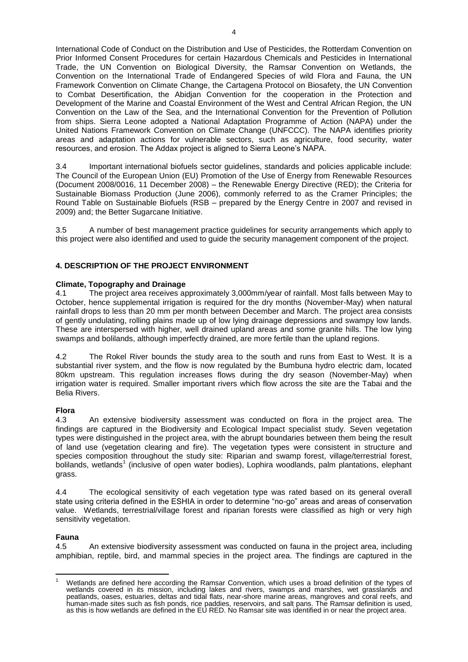International Code of Conduct on the Distribution and Use of Pesticides, the Rotterdam Convention on Prior Informed Consent Procedures for certain Hazardous Chemicals and Pesticides in International Trade, the UN Convention on Biological Diversity, the Ramsar Convention on Wetlands, the Convention on the International Trade of Endangered Species of wild Flora and Fauna, the UN Framework Convention on Climate Change, the Cartagena Protocol on Biosafety, the UN Convention to Combat Desertification, the Abidjan Convention for the cooperation in the Protection and Development of the Marine and Coastal Environment of the West and Central African Region, the UN Convention on the Law of the Sea, and the International Convention for the Prevention of Pollution from ships. Sierra Leone adopted a National Adaptation Programme of Action (NAPA) under the United Nations Framework Convention on Climate Change (UNFCCC). The NAPA identifies priority areas and adaptation actions for vulnerable sectors, such as agriculture, food security, water resources, and erosion. The Addax project is aligned to Sierra Leone"s NAPA.

3.4 Important international biofuels sector guidelines, standards and policies applicable include: The Council of the European Union (EU) Promotion of the Use of Energy from Renewable Resources (Document 2008/0016, 11 December 2008) – the Renewable Energy Directive (RED); the Criteria for Sustainable Biomass Production (June 2006), commonly referred to as the Cramer Principles; the Round Table on Sustainable Biofuels (RSB – prepared by the Energy Centre in 2007 and revised in 2009) and; the Better Sugarcane Initiative.

3.5 A number of best management practice guidelines for security arrangements which apply to this project were also identified and used to guide the security management component of the project.

# <span id="page-6-0"></span>**4. DESCRIPTION OF THE PROJECT ENVIRONMENT**

# **Climate, Topography and Drainage**

4.1 The project area receives approximately 3,000mm/year of rainfall. Most falls between May to October, hence supplemental irrigation is required for the dry months (November-May) when natural rainfall drops to less than 20 mm per month between December and March. The project area consists of gently undulating, rolling plains made up of low lying drainage depressions and swampy low lands. These are interspersed with higher, well drained upland areas and some granite hills. The low lying swamps and bolilands, although imperfectly drained, are more fertile than the upland regions.

4.2 The Rokel River bounds the study area to the south and runs from East to West. It is a substantial river system, and the flow is now regulated by the Bumbuna hydro electric dam, located 80km upstream. This regulation increases flows during the dry season (November-May) when irrigation water is required. Smaller important rivers which flow across the site are the Tabai and the Belia Rivers.

#### **Flora**

4.3 An extensive biodiversity assessment was conducted on flora in the project area. The findings are captured in the Biodiversity and Ecological Impact specialist study. Seven vegetation types were distinguished in the project area, with the abrupt boundaries between them being the result of land use (vegetation clearing and fire). The vegetation types were consistent in structure and species composition throughout the study site: Riparian and swamp forest, village/terrestrial forest, bolilands, wetlands<sup>1</sup> (inclusive of open water bodies), Lophira woodlands, palm plantations, elephant grass.

4.4 The ecological sensitivity of each vegetation type was rated based on its general overall state using criteria defined in the ESHIA in order to determine "no-go" areas and areas of conservation value. Wetlands, terrestrial/village forest and riparian forests were classified as high or very high sensitivity vegetation.

# **Fauna**

4.5 An extensive biodiversity assessment was conducted on fauna in the project area, including amphibian, reptile, bird, and mammal species in the project area. The findings are captured in the

Wetlands are defined here according the Ramsar Convention, which uses a broad definition of the types of wetlands covered in its mission, including lakes and rivers, swamps and marshes, wet grasslands and peatlands, oases, estuaries, deltas and tidal flats, near-shore marine areas, mangroves and coral reefs, and human-made sites such as fish ponds, rice paddies, reservoirs, and salt pans. The Ramsar definition is used, as this is how wetlands are defined in the EU RED. No Ramsar site was identified in or near the project area.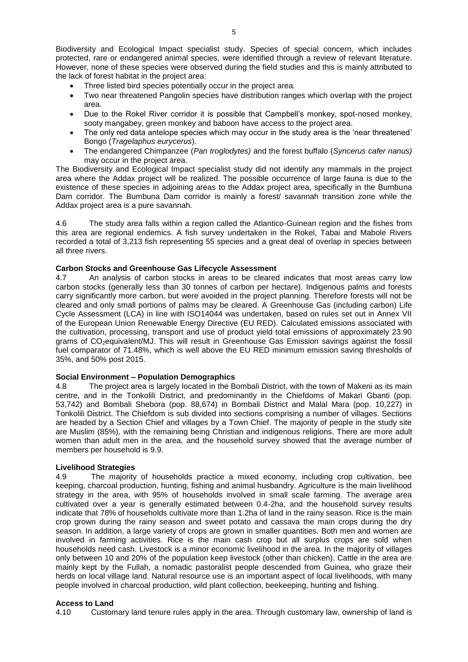Biodiversity and Ecological Impact specialist study. Species of special concern, which includes protected, rare or endangered animal species, were identified through a review of relevant literature. However, none of these species were observed during the field studies and this is mainly attributed to the lack of forest habitat in the project area:

- Three listed bird species potentially occur in the project area.
- Two near threatened Pangolin species have distribution ranges which overlap with the project area.
- Due to the Rokel River corridor it is possible that Campbell"s monkey, spot-nosed monkey, sooty mangabey, green monkey and baboon have access to the project area.
- The only red data antelope species which may occur in the study area is the 'near threatened' Bongo (*[Tragelaphus eurycerus](http://www.iucnredlist.org/details/22047/0)*).
- The endangered Chimpanzee (*Pan troglodytes)* and the forest buffalo (*Syncerus cafer nanus)* may occur in the project area.

The Biodiversity and Ecological Impact specialist study did not identify any mammals in the project area where the Addax project will be realized. The possible occurrence of large fauna is due to the existence of these species in adjoining areas to the Addax project area, specifically in the Bumbuna Dam corridor. The Bumbuna Dam corridor is mainly a forest/ savannah transition zone while the Addax project area is a pure savannah.

4.6 The study area falls within a region called the Atlantico-Guinean region and the fishes from this area are regional endemics. A fish survey undertaken in the Rokel, Tabai and Mabole Rivers recorded a total of 3,213 fish representing 55 species and a great deal of overlap in species between all three rivers.

# **Carbon Stocks and Greenhouse Gas Lifecycle Assessment**

4.7 An analysis of carbon stocks in areas to be cleared indicates that most areas carry low carbon stocks (generally less than 30 tonnes of carbon per hectare). Indigenous palms and forests carry significantly more carbon, but were avoided in the project planning. Therefore forests will not be cleared and only small portions of palms may be cleared. A Greenhouse Gas (including carbon) Life Cycle Assessment (LCA) in line with ISO14044 was undertaken, based on rules set out in Annex VII of the European Union Renewable Energy Directive (EU RED). Calculated emissions associated with the cultivation, processing, transport and use of product yield total emissions of approximately 23.90 grams of CO2equivalent/MJ. This will result in Greenhouse Gas Emission savings against the fossil fuel comparator of 71.48%, which is well above the EU RED minimum emission saving thresholds of 35%, and 50% post 2015.

#### **Social Environment – Population Demographics**

4.8 The project area is largely located in the Bombali District, with the town of Makeni as its main centre, and in the Tonkolili District, and predominantly in the Chiefdoms of Makari Gbanti (pop. 53,742) and Bombali Shebora (pop. 88,674) in Bombali District and Malal Mara (pop. 10,227) in Tonkolili District. The Chiefdom is sub divided into sections comprising a number of villages. Sections are headed by a Section Chief and villages by a Town Chief. The majority of people in the study site are Muslim (85%), with the remaining being Christian and indigenous religions. There are more adult women than adult men in the area, and the household survey showed that the average number of members per household is 9.9.

#### **Livelihood Strategies**

4.9 The majority of households practice a mixed economy, including crop cultivation, bee keeping, charcoal production, hunting, fishing and animal husbandry. Agriculture is the main livelihood strategy in the area, with 95% of households involved in small scale farming. The average area cultivated over a year is generally estimated between 0.4-2ha, and the household survey results indicate that 78% of households cultivate more than 1.2ha of land in the rainy season. Rice is the main crop grown during the rainy season and sweet potato and cassava the main crops during the dry season. In addition, a large variety of crops are grown in smaller quantities. Both men and women are involved in farming activities. Rice is the main cash crop but all surplus crops are sold when households need cash. Livestock is a minor economic livelihood in the area. In the majority of villages only between 10 and 20% of the population keep livestock (other than chicken). Cattle in the area are mainly kept by the Fullah, a nomadic pastoralist people descended from Guinea, who graze their herds on local village land. Natural resource use is an important aspect of local livelihoods, with many people involved in charcoal production, wild plant collection, beekeeping, hunting and fishing.

# **Access to Land**

4.10 Customary land tenure rules apply in the area. Through customary law, ownership of land is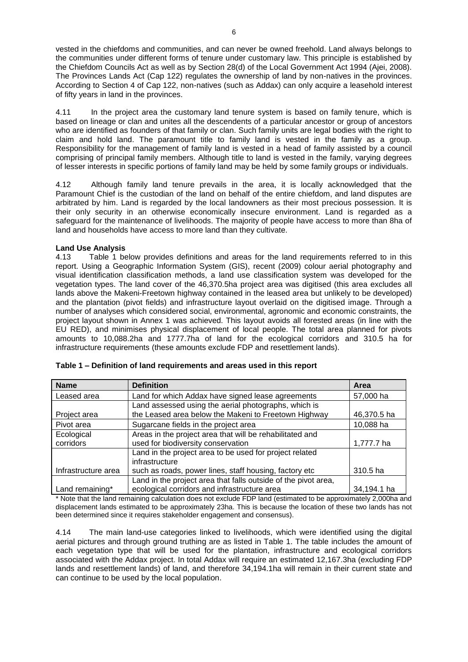vested in the chiefdoms and communities, and can never be owned freehold. Land always belongs to the communities under different forms of tenure under customary law. This principle is established by the Chiefdom Councils Act as well as by Section 28(d) of the Local Government Act 1994 (Ajei, 2008). The Provinces Lands Act (Cap 122) regulates the ownership of land by non-natives in the provinces. According to Section 4 of Cap 122, non-natives (such as Addax) can only acquire a leasehold interest of fifty years in land in the provinces.

4.11 In the project area the customary land tenure system is based on family tenure, which is based on lineage or clan and unites all the descendents of a particular ancestor or group of ancestors who are identified as founders of that family or clan. Such family units are legal bodies with the right to claim and hold land. The paramount title to family land is vested in the family as a group. Responsibility for the management of family land is vested in a head of family assisted by a council comprising of principal family members. Although title to land is vested in the family, varying degrees of lesser interests in specific portions of family land may be held by some family groups or individuals.

4.12 Although family land tenure prevails in the area, it is locally acknowledged that the Paramount Chief is the custodian of the land on behalf of the entire chiefdom, and land disputes are arbitrated by him. Land is regarded by the local landowners as their most precious possession. It is their only security in an otherwise economically insecure environment. Land is regarded as a safeguard for the maintenance of livelihoods. The majority of people have access to more than 8ha of land and households have access to more land than they cultivate.

# **Land Use Analysis**

4.13 Table 1 below provides definitions and areas for the land requirements referred to in this report. Using a Geographic Information System (GIS), recent (2009) colour aerial photography and visual identification classification methods, a land use classification system was developed for the vegetation types. The land cover of the 46,370.5ha project area was digitised (this area excludes all lands above the Makeni-Freetown highway contained in the leased area but unlikely to be developed) and the plantation (pivot fields) and infrastructure layout overlaid on the digitised image. Through a number of analyses which considered social, environmental, agronomic and economic constraints, the project layout shown in Annex 1 was achieved. This layout avoids all forested areas (in line with the EU RED), and minimises physical displacement of local people. The total area planned for pivots amounts to 10,088.2ha and 1777.7ha of land for the ecological corridors and 310.5 ha for infrastructure requirements (these amounts exclude FDP and resettlement lands).

| <b>Name</b>         | <b>Definition</b>                                              | Area        |
|---------------------|----------------------------------------------------------------|-------------|
| Leased area         | Land for which Addax have signed lease agreements              | 57,000 ha   |
|                     | Land assessed using the aerial photographs, which is           |             |
| Project area        | the Leased area below the Makeni to Freetown Highway           | 46,370.5 ha |
| Pivot area          | Sugarcane fields in the project area                           | 10,088 ha   |
| Ecological          | Areas in the project area that will be rehabilitated and       |             |
| corridors           | used for biodiversity conservation                             | 1,777.7 ha  |
|                     | Land in the project area to be used for project related        |             |
|                     | infrastructure                                                 |             |
| Infrastructure area | such as roads, power lines, staff housing, factory etc         | 310.5 ha    |
|                     | Land in the project area that falls outside of the pivot area, |             |
| Land remaining*     | ecological corridors and infrastructure area                   | 34,194.1 ha |

| Table 1 – Definition of land requirements and areas used in this report |  |  |  |
|-------------------------------------------------------------------------|--|--|--|
|                                                                         |  |  |  |

\* Note that the land remaining calculation does not exclude FDP land (estimated to be approximately 2,000ha and displacement lands estimated to be approximately 23ha. This is because the location of these two lands has not been determined since it requires stakeholder engagement and consensus).

4.14 The main land-use categories linked to livelihoods, which were identified using the digital aerial pictures and through ground truthing are as listed in Table 1. The table includes the amount of each vegetation type that will be used for the plantation, infrastructure and ecological corridors associated with the Addax project. In total Addax will require an estimated 12,167.3ha (excluding FDP lands and resettlement lands) of land, and therefore 34,194.1ha will remain in their current state and can continue to be used by the local population.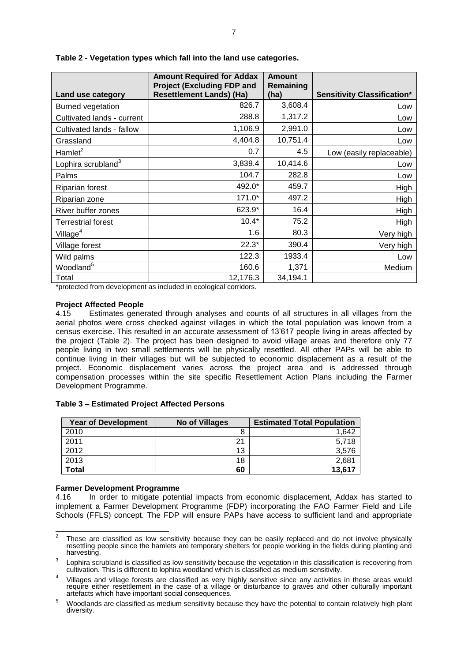| Land use category              | <b>Amount Required for Addax</b><br><b>Project (Excluding FDP and</b><br><b>Resettlement Lands) (Ha)</b> | <b>Amount</b><br>Remaining<br>(ha) | <b>Sensitivity Classification*</b> |
|--------------------------------|----------------------------------------------------------------------------------------------------------|------------------------------------|------------------------------------|
| <b>Burned vegetation</b>       | 826.7                                                                                                    | 3,608.4                            | Low                                |
| Cultivated lands - current     | 288.8                                                                                                    | 1,317.2                            | Low                                |
| Cultivated lands - fallow      | 1,106.9                                                                                                  | 2,991.0                            | Low                                |
| Grassland                      | 4,404.8                                                                                                  | 10,751.4                           | Low                                |
| Hamlet <sup>2</sup>            | 0.7                                                                                                      | 4.5                                | Low (easily replaceable)           |
| Lophira scrubland <sup>3</sup> | 3,839.4                                                                                                  | 10,414.6                           | Low                                |
| Palms                          | 104.7                                                                                                    | 282.8                              | Low                                |
| <b>Riparian forest</b>         | 492.0*                                                                                                   | 459.7                              | High                               |
| Riparian zone                  | $171.0*$                                                                                                 | 497.2                              | High                               |
| River buffer zones             | 623.9*                                                                                                   | 16.4                               | High                               |
| <b>Terrestrial forest</b>      | $10.4*$                                                                                                  | 75.2                               | High                               |
| Village $4$                    | 1.6                                                                                                      | 80.3                               | Very high                          |
| Village forest                 | $22.3*$                                                                                                  | 390.4                              | Very high                          |
| Wild palms                     | 122.3                                                                                                    | 1933.4                             | Low                                |
| Woodland <sup>5</sup>          | 160.6                                                                                                    | 1,371                              | Medium                             |
| Total                          | 12,176.3                                                                                                 | 34,194.1                           |                                    |

**Table 2 - Vegetation types which fall into the land use categories.** 

\*protected from development as included in ecological corridors.

#### **Project Affected People**

4.15 Estimates generated through analyses and counts of all structures in all villages from the aerial photos were cross checked against villages in which the total population was known from a census exercise. This resulted in an accurate assessment of 13"617 people living in areas affected by the project (Table 2). The project has been designed to avoid village areas and therefore only 77 people living in two small settlements will be physically resettled. All other PAPs will be able to continue living in their villages but will be subjected to economic displacement as a result of the project. Economic displacement varies across the project area and is addressed through compensation processes within the site specific Resettlement Action Plans including the Farmer Development Programme.

| <b>Year of Development</b> | No of Villages | <b>Estimated Total Population</b> |
|----------------------------|----------------|-----------------------------------|
| 2010                       |                | 1,642                             |
| 2011                       | 21             | 5.718                             |
| 2012                       | 13             | 3.576                             |
| 2013                       | 18             | 2,681                             |
| <b>Total</b>               | 60             | 13,617                            |

#### **Table 3 – Estimated Project Affected Persons**

# **Farmer Development Programme**

In order to mitigate potential impacts from economic displacement, Addax has started to implement a Farmer Development Programme (FDP) incorporating the FAO Farmer Field and Life Schools (FFLS) concept. The FDP will ensure PAPs have access to sufficient land and appropriate

<sup>&</sup>lt;sup>2</sup> These are classified as low sensitivity because they can be easily replaced and do not involve physically resettling people since the hamlets are temporary shelters for people working in the fields during planting and harvesting.

<sup>3</sup> Lophira scrubland is classified as low sensitivity because the vegetation in this classification is recovering from cultivation. This is different to lophira woodland which is classified as medium sensitivity.

<sup>4</sup> Villages and village forests are classified as very highly sensitive since any activities in these areas would require either resettlement in the case of a village or disturbance to graves and other culturally important artefacts which have important social consequences.

<sup>5</sup> Woodlands are classified as medium sensitivity because they have the potential to contain relatively high plant diversity.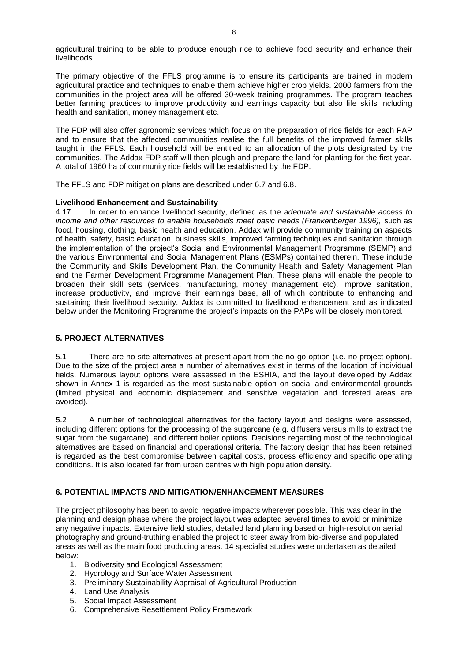agricultural training to be able to produce enough rice to achieve food security and enhance their livelihoods.

The primary objective of the FFLS programme is to ensure its participants are trained in modern agricultural practice and techniques to enable them achieve higher crop yields. 2000 farmers from the communities in the project area will be offered 30-week training programmes. The program teaches better farming practices to improve productivity and earnings capacity but also life skills including health and sanitation, money management etc.

The FDP will also offer agronomic services which focus on the preparation of rice fields for each PAP and to ensure that the affected communities realise the full benefits of the improved farmer skills taught in the FFLS. Each household will be entitled to an allocation of the plots designated by the communities. The Addax FDP staff will then plough and prepare the land for planting for the first year. A total of 1960 ha of community rice fields will be established by the FDP.

The FFLS and FDP mitigation plans are described under 6.7 and 6.8.

# **Livelihood Enhancement and Sustainability**

4.17 In order to enhance livelihood security, defined as the *adequate and sustainable access to income and other resources to enable households meet basic needs (Frankenberger 1996),* such as food, housing, clothing, basic health and education, Addax will provide community training on aspects of health, safety, basic education, business skills, improved farming techniques and sanitation through the implementation of the project"s Social and Environmental Management Programme (SEMP) and the various Environmental and Social Management Plans (ESMPs) contained therein. These include the Community and Skills Development Plan, the Community Health and Safety Management Plan and the Farmer Development Programme Management Plan. These plans will enable the people to broaden their skill sets (services, manufacturing, money management etc), improve sanitation, increase productivity, and improve their earnings base, all of which contribute to enhancing and sustaining their livelihood security. Addax is committed to livelihood enhancement and as indicated below under the Monitoring Programme the project"s impacts on the PAPs will be closely monitored.

# <span id="page-10-0"></span>**5. PROJECT ALTERNATIVES**

5.1 There are no site alternatives at present apart from the no-go option (i.e. no project option). Due to the size of the project area a number of alternatives exist in terms of the location of individual fields. Numerous layout options were assessed in the ESHIA, and the layout developed by Addax shown in Annex 1 is regarded as the most sustainable option on social and environmental grounds (limited physical and economic displacement and sensitive vegetation and forested areas are avoided).

5.2 A number of technological alternatives for the factory layout and designs were assessed, including different options for the processing of the sugarcane (e.g. diffusers versus mills to extract the sugar from the sugarcane), and different boiler options. Decisions regarding most of the technological alternatives are based on financial and operational criteria. The factory design that has been retained is regarded as the best compromise between capital costs, process efficiency and specific operating conditions. It is also located far from urban centres with high population density.

# <span id="page-10-1"></span>**6. POTENTIAL IMPACTS AND MITIGATION/ENHANCEMENT MEASURES**

The project philosophy has been to avoid negative impacts wherever possible. This was clear in the planning and design phase where the project layout was adapted several times to avoid or minimize any negative impacts. Extensive field studies, detailed land planning based on high-resolution aerial photography and ground-truthing enabled the project to steer away from bio-diverse and populated areas as well as the main food producing areas. 14 specialist studies were undertaken as detailed below:

- 1. Biodiversity and Ecological Assessment
- 2. Hydrology and Surface Water Assessment
- 3. Preliminary Sustainability Appraisal of Agricultural Production
- 4. Land Use Analysis
- 5. Social Impact Assessment
- 6. Comprehensive Resettlement Policy Framework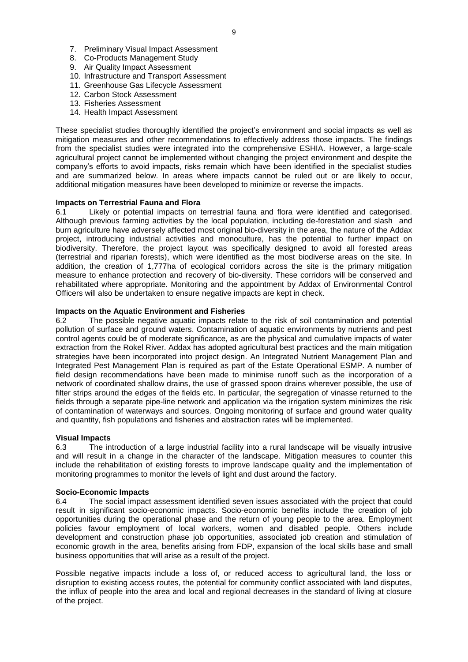- 7. Preliminary Visual Impact Assessment
- 8. Co-Products Management Study
- 9. Air Quality Impact Assessment
- 10. Infrastructure and Transport Assessment
- 11. Greenhouse Gas Lifecycle Assessment
- 12. Carbon Stock Assessment
- 13. Fisheries Assessment
- 14. Health Impact Assessment

These specialist studies thoroughly identified the project's environment and social impacts as well as mitigation measures and other recommendations to effectively address those impacts. The findings from the specialist studies were integrated into the comprehensive ESHIA. However, a large-scale agricultural project cannot be implemented without changing the project environment and despite the company"s efforts to avoid impacts, risks remain which have been identified in the specialist studies and are summarized below. In areas where impacts cannot be ruled out or are likely to occur, additional mitigation measures have been developed to minimize or reverse the impacts.

#### **Impacts on Terrestrial Fauna and Flora**

6.1 Likely or potential impacts on terrestrial fauna and flora were identified and categorised. Although previous farming activities by the local population, including de-forestation and slash and burn agriculture have adversely affected most original bio-diversity in the area, the nature of the Addax project, introducing industrial activities and monoculture, has the potential to further impact on biodiversity. Therefore, the project layout was specifically designed to avoid all forested areas (terrestrial and riparian forests), which were identified as the most biodiverse areas on the site. In addition, the creation of 1,777ha of ecological corridors across the site is the primary mitigation measure to enhance protection and recovery of bio-diversity. These corridors will be conserved and rehabilitated where appropriate. Monitoring and the appointment by Addax of Environmental Control Officers will also be undertaken to ensure negative impacts are kept in check.

## **Impacts on the Aquatic Environment and Fisheries**

6.2 The possible negative aquatic impacts relate to the risk of soil contamination and potential pollution of surface and ground waters. Contamination of aquatic environments by nutrients and pest control agents could be of moderate significance, as are the physical and cumulative impacts of water extraction from the Rokel River. Addax has adopted agricultural best practices and the main mitigation strategies have been incorporated into project design. An Integrated Nutrient Management Plan and Integrated Pest Management Plan is required as part of the Estate Operational ESMP. A number of field design recommendations have been made to minimise runoff such as the incorporation of a network of coordinated shallow drains, the use of grassed spoon drains wherever possible, the use of filter strips around the edges of the fields etc. In particular, the segregation of vinasse returned to the fields through a separate pipe-line network and application via the irrigation system minimizes the risk of contamination of waterways and sources. Ongoing monitoring of surface and ground water quality and quantity, fish populations and fisheries and abstraction rates will be implemented.

#### **Visual Impacts**

6.3 The introduction of a large industrial facility into a rural landscape will be visually intrusive and will result in a change in the character of the landscape. Mitigation measures to counter this include the rehabilitation of existing forests to improve landscape quality and the implementation of monitoring programmes to monitor the levels of light and dust around the factory.

#### **Socio-Economic Impacts**

6.4 The social impact assessment identified seven issues associated with the project that could result in significant socio-economic impacts. Socio-economic benefits include the creation of job opportunities during the operational phase and the return of young people to the area. Employment policies favour employment of local workers, women and disabled people. Others include development and construction phase job opportunities, associated job creation and stimulation of economic growth in the area, benefits arising from FDP, expansion of the local skills base and small business opportunities that will arise as a result of the project.

Possible negative impacts include a loss of, or reduced access to agricultural land, the loss or disruption to existing access routes, the potential for community conflict associated with land disputes, the influx of people into the area and local and regional decreases in the standard of living at closure of the project.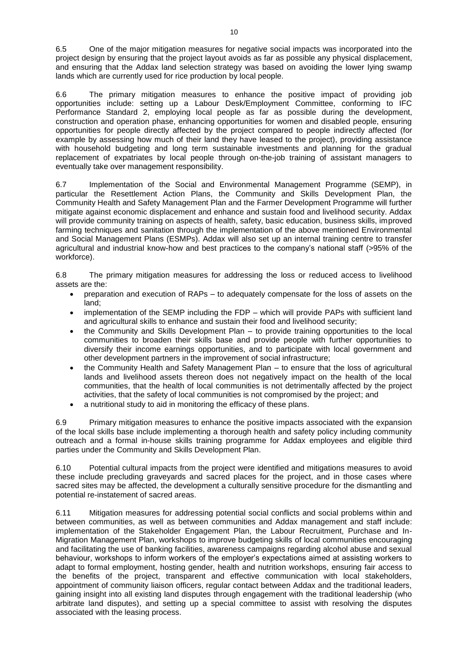6.5 One of the major mitigation measures for negative social impacts was incorporated into the project design by ensuring that the project layout avoids as far as possible any physical displacement, and ensuring that the Addax land selection strategy was based on avoiding the lower lying swamp lands which are currently used for rice production by local people.

6.6 The primary mitigation measures to enhance the positive impact of providing job opportunities include: setting up a Labour Desk/Employment Committee, conforming to IFC Performance Standard 2, employing local people as far as possible during the development, construction and operation phase, enhancing opportunities for women and disabled people, ensuring opportunities for people directly affected by the project compared to people indirectly affected (for example by assessing how much of their land they have leased to the project), providing assistance with household budgeting and long term sustainable investments and planning for the gradual replacement of expatriates by local people through on-the-job training of assistant managers to eventually take over management responsibility.

6.7 Implementation of the Social and Environmental Management Programme (SEMP), in particular the Resettlement Action Plans, the Community and Skills Development Plan, the Community Health and Safety Management Plan and the Farmer Development Programme will further mitigate against economic displacement and enhance and sustain food and livelihood security. Addax will provide community training on aspects of health, safety, basic education, business skills, improved farming techniques and sanitation through the implementation of the above mentioned Environmental and Social Management Plans (ESMPs). Addax will also set up an internal training centre to transfer agricultural and industrial know-how and best practices to the company"s national staff (>95% of the workforce).

6.8 The primary mitigation measures for addressing the loss or reduced access to livelihood assets are the:

- preparation and execution of RAPs to adequately compensate for the loss of assets on the land;
- implementation of the SEMP including the FDP which will provide PAPs with sufficient land and agricultural skills to enhance and sustain their food and livelihood security;
- the Community and Skills Development Plan to provide training opportunities to the local communities to broaden their skills base and provide people with further opportunities to diversify their income earnings opportunities, and to participate with local government and other development partners in the improvement of social infrastructure;
- the Community Health and Safety Management Plan to ensure that the loss of agricultural lands and livelihood assets thereon does not negatively impact on the health of the local communities, that the health of local communities is not detrimentally affected by the project activities, that the safety of local communities is not compromised by the project; and
- a nutritional study to aid in monitoring the efficacy of these plans.

6.9 Primary mitigation measures to enhance the positive impacts associated with the expansion of the local skills base include implementing a thorough health and safety policy including community outreach and a formal in-house skills training programme for Addax employees and eligible third parties under the Community and Skills Development Plan.

6.10 Potential cultural impacts from the project were identified and mitigations measures to avoid these include precluding graveyards and sacred places for the project, and in those cases where sacred sites may be affected, the development a culturally sensitive procedure for the dismantling and potential re-instatement of sacred areas.

6.11 Mitigation measures for addressing potential social conflicts and social problems within and between communities, as well as between communities and Addax management and staff include: implementation of the Stakeholder Engagement Plan, the Labour Recruitment, Purchase and In-Migration Management Plan, workshops to improve budgeting skills of local communities encouraging and facilitating the use of banking facilities, awareness campaigns regarding alcohol abuse and sexual behaviour, workshops to inform workers of the employer"s expectations aimed at assisting workers to adapt to formal employment, hosting gender, health and nutrition workshops, ensuring fair access to the benefits of the project, transparent and effective communication with local stakeholders, appointment of community liaison officers, regular contact between Addax and the traditional leaders, gaining insight into all existing land disputes through engagement with the traditional leadership (who arbitrate land disputes), and setting up a special committee to assist with resolving the disputes associated with the leasing process.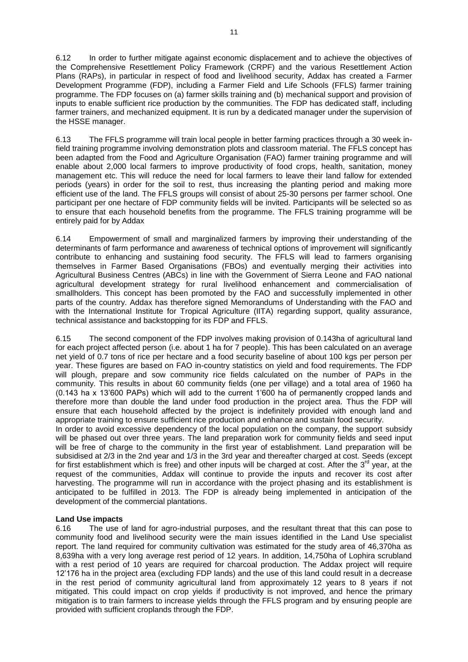6.12 In order to further mitigate against economic displacement and to achieve the objectives of the Comprehensive Resettlement Policy Framework (CRPF) and the various Resettlement Action Plans (RAPs), in particular in respect of food and livelihood security, Addax has created a Farmer Development Programme (FDP), including a Farmer Field and Life Schools (FFLS) farmer training programme. The FDP focuses on (a) farmer skills training and (b) mechanical support and provision of inputs to enable sufficient rice production by the communities. The FDP has dedicated staff, including farmer trainers, and mechanized equipment. It is run by a dedicated manager under the supervision of the HSSE manager.

6.13 The FFLS programme will train local people in better farming practices through a 30 week infield training programme involving demonstration plots and classroom material. The FFLS concept has been adapted from the Food and Agriculture Organisation (FAO) farmer training programme and will enable about 2,000 local farmers to improve productivity of food crops, health, sanitation, money management etc. This will reduce the need for local farmers to leave their land fallow for extended periods (years) in order for the soil to rest, thus increasing the planting period and making more efficient use of the land. The FFLS groups will consist of about 25-30 persons per farmer school. One participant per one hectare of FDP community fields will be invited. Participants will be selected so as to ensure that each household benefits from the programme. The FFLS training programme will be entirely paid for by Addax

6.14 Empowerment of small and marginalized farmers by improving their understanding of the determinants of farm performance and awareness of technical options of improvement will significantly contribute to enhancing and sustaining food security. The FFLS will lead to farmers organising themselves in Farmer Based Organisations (FBOs) and eventually merging their activities into Agricultural Business Centres (ABCs) in line with the Government of Sierra Leone and FAO national agricultural development strategy for rural livelihood enhancement and commercialisation of smallholders. This concept has been promoted by the FAO and successfully implemented in other parts of the country. Addax has therefore signed Memorandums of Understanding with the FAO and with the International Institute for Tropical Agriculture (IITA) regarding support, quality assurance, technical assistance and backstopping for its FDP and FFLS.

6.15 The second component of the FDP involves making provision of 0.143ha of agricultural land for each project affected person (i.e. about 1 ha for 7 people). This has been calculated on an average net yield of 0.7 tons of rice per hectare and a food security baseline of about 100 kgs per person per year. These figures are based on FAO in-country statistics on yield and food requirements. The FDP will plough, prepare and sow community rice fields calculated on the number of PAPs in the community. This results in about 60 community fields (one per village) and a total area of 1960 ha (0.143 ha x 13"600 PAPs) which will add to the current 1"600 ha of permanently cropped lands and therefore more than double the land under food production in the project area. Thus the FDP will ensure that each household affected by the project is indefinitely provided with enough land and appropriate training to ensure sufficient rice production and enhance and sustain food security.

In order to avoid excessive dependency of the local population on the company, the support subsidy will be phased out over three years. The land preparation work for community fields and seed input will be free of charge to the community in the first year of establishment. Land preparation will be subsidised at 2/3 in the 2nd year and 1/3 in the 3rd year and thereafter charged at cost. Seeds (except for first establishment which is free) and other inputs will be charged at cost. After the  $3<sup>rd</sup>$  year, at the request of the communities, Addax will continue to provide the inputs and recover its cost after harvesting. The programme will run in accordance with the project phasing and its establishment is anticipated to be fulfilled in 2013. The FDP is already being implemented in anticipation of the development of the commercial plantations.

# **Land Use impacts**

6.16 The use of land for agro-industrial purposes, and the resultant threat that this can pose to community food and livelihood security were the main issues identified in the Land Use specialist report. The land required for community cultivation was estimated for the study area of 46,370ha as 8,639ha with a very long average rest period of 12 years. In addition, 14,750ha of Lophira scrubland with a rest period of 10 years are required for charcoal production. The Addax project will require 12"176 ha in the project area (excluding FDP lands) and the use of this land could result in a decrease in the rest period of community agricultural land from approximately 12 years to 8 years if not mitigated. This could impact on crop yields if productivity is not improved, and hence the primary mitigation is to train farmers to increase yields through the FFLS program and by ensuring people are provided with sufficient croplands through the FDP.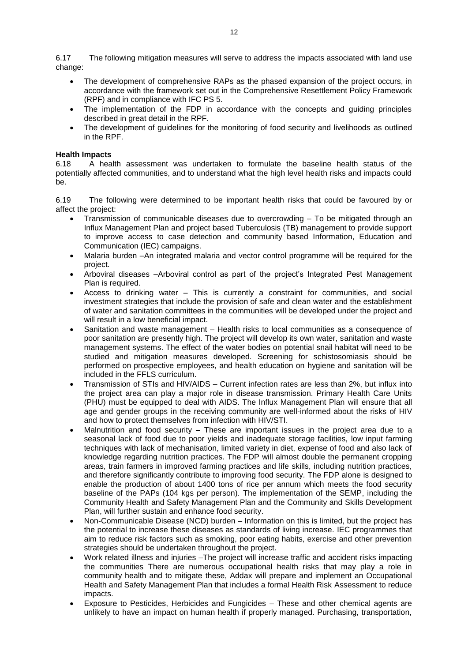6.17 The following mitigation measures will serve to address the impacts associated with land use change:

- The development of comprehensive RAPs as the phased expansion of the project occurs, in accordance with the framework set out in the Comprehensive Resettlement Policy Framework (RPF) and in compliance with IFC PS 5.
- The implementation of the FDP in accordance with the concepts and guiding principles described in great detail in the RPF.
- The development of guidelines for the monitoring of food security and livelihoods as outlined in the RPF.

## **Health Impacts**

6.18 A health assessment was undertaken to formulate the baseline health status of the potentially affected communities, and to understand what the high level health risks and impacts could be.

6.19 The following were determined to be important health risks that could be favoured by or affect the project:

- Transmission of communicable diseases due to overcrowding To be mitigated through an Influx Management Plan and project based Tuberculosis (TB) management to provide support to improve access to case detection and community based Information, Education and Communication (IEC) campaigns.
- Malaria burden –An integrated malaria and vector control programme will be required for the project.
- Arboviral diseases –Arboviral control as part of the project"s Integrated Pest Management Plan is required.
- Access to drinking water This is currently a constraint for communities, and social investment strategies that include the provision of safe and clean water and the establishment of water and sanitation committees in the communities will be developed under the project and will result in a low beneficial impact.
- Sanitation and waste management Health risks to local communities as a consequence of poor sanitation are presently high. The project will develop its own water, sanitation and waste management systems. The effect of the water bodies on potential snail habitat will need to be studied and mitigation measures developed. Screening for schistosomiasis should be performed on prospective employees, and health education on hygiene and sanitation will be included in the FFLS curriculum.
- Transmission of STIs and HIV/AIDS Current infection rates are less than 2%, but influx into the project area can play a major role in disease transmission. Primary Health Care Units (PHU) must be equipped to deal with AIDS. The Influx Management Plan will ensure that all age and gender groups in the receiving community are well-informed about the risks of HIV and how to protect themselves from infection with HIV/STI.
- Malnutrition and food security These are important issues in the project area due to a seasonal lack of food due to poor yields and inadequate storage facilities, low input farming techniques with lack of mechanisation, limited variety in diet, expense of food and also lack of knowledge regarding nutrition practices. The FDP will almost double the permanent cropping areas, train farmers in improved farming practices and life skills, including nutrition practices, and therefore significantly contribute to improving food security. The FDP alone is designed to enable the production of about 1400 tons of rice per annum which meets the food security baseline of the PAPs (104 kgs per person). The implementation of the SEMP, including the Community Health and Safety Management Plan and the Community and Skills Development Plan, will further sustain and enhance food security.
- Non-Communicable Disease (NCD) burden Information on this is limited, but the project has the potential to increase these diseases as standards of living increase. IEC programmes that aim to reduce risk factors such as smoking, poor eating habits, exercise and other prevention strategies should be undertaken throughout the project.
- Work related illness and injuries –The project will increase traffic and accident risks impacting the communities There are numerous occupational health risks that may play a role in community health and to mitigate these, Addax will prepare and implement an Occupational Health and Safety Management Plan that includes a formal Health Risk Assessment to reduce impacts.
- Exposure to Pesticides, Herbicides and Fungicides These and other chemical agents are unlikely to have an impact on human health if properly managed. Purchasing, transportation,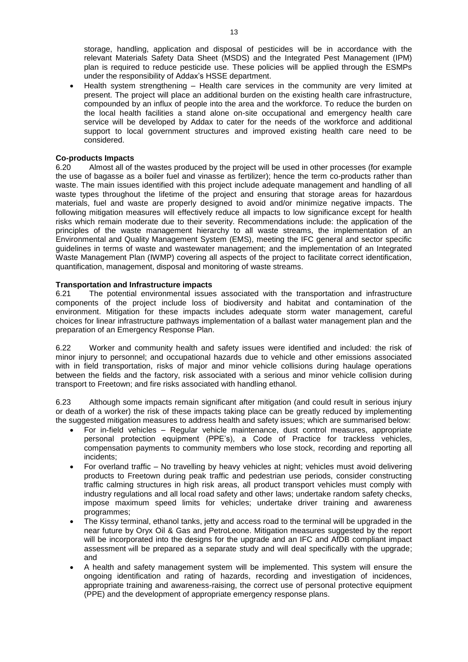storage, handling, application and disposal of pesticides will be in accordance with the relevant Materials Safety Data Sheet (MSDS) and the Integrated Pest Management (IPM) plan is required to reduce pesticide use. These policies will be applied through the ESMPs under the responsibility of Addax"s HSSE department.

 Health system strengthening – Health care services in the community are very limited at present. The project will place an additional burden on the existing health care infrastructure, compounded by an influx of people into the area and the workforce. To reduce the burden on the local health facilities a stand alone on-site occupational and emergency health care service will be developed by Addax to cater for the needs of the workforce and additional support to local government structures and improved existing health care need to be considered.

# **Co-products Impacts**

6.20 Almost all of the wastes produced by the project will be used in other processes (for example the use of bagasse as a boiler fuel and vinasse as fertilizer); hence the term co-products rather than waste. The main issues identified with this project include adequate management and handling of all waste types throughout the lifetime of the project and ensuring that storage areas for hazardous materials, fuel and waste are properly designed to avoid and/or minimize negative impacts. The following mitigation measures will effectively reduce all impacts to low significance except for health risks which remain moderate due to their severity. Recommendations include: the application of the principles of the waste management hierarchy to all waste streams, the implementation of an Environmental and Quality Management System (EMS), meeting the IFC general and sector specific guidelines in terms of waste and wastewater management; and the implementation of an Integrated Waste Management Plan (IWMP) covering all aspects of the project to facilitate correct identification, quantification, management, disposal and monitoring of waste streams.

#### **Transportation and Infrastructure impacts**

6.21 The potential environmental issues associated with the transportation and infrastructure components of the project include loss of biodiversity and habitat and contamination of the environment. Mitigation for these impacts includes adequate storm water management, careful choices for linear infrastructure pathways implementation of a ballast water management plan and the preparation of an Emergency Response Plan.

6.22 Worker and community health and safety issues were identified and included: the risk of minor injury to personnel; and occupational hazards due to vehicle and other emissions associated with in field transportation, risks of major and minor vehicle collisions during haulage operations between the fields and the factory, risk associated with a serious and minor vehicle collision during transport to Freetown; and fire risks associated with handling ethanol.

6.23 Although some impacts remain significant after mitigation (and could result in serious injury or death of a worker) the risk of these impacts taking place can be greatly reduced by implementing the suggested mitigation measures to address health and safety issues; which are summarised below:

- For in-field vehicles Regular vehicle maintenance, dust control measures, appropriate personal protection equipment (PPE"s), a Code of Practice for trackless vehicles, compensation payments to community members who lose stock, recording and reporting all incidents;
- For overland traffic No travelling by heavy vehicles at night; vehicles must avoid delivering products to Freetown during peak traffic and pedestrian use periods, consider constructing traffic calming structures in high risk areas, all product transport vehicles must comply with industry regulations and all local road safety and other laws; undertake random safety checks, impose maximum speed limits for vehicles; undertake driver training and awareness programmes;
- The Kissy terminal, ethanol tanks, jetty and access road to the terminal will be upgraded in the near future by Oryx Oil & Gas and PetroLeone. Mitigation measures suggested by the report will be incorporated into the designs for the upgrade and an IFC and AfDB compliant impact assessment will be prepared as a separate study and will deal specifically with the upgrade; and
- A health and safety management system will be implemented. This system will ensure the ongoing identification and rating of hazards, recording and investigation of incidences, appropriate training and awareness-raising, the correct use of personal protective equipment (PPE) and the development of appropriate emergency response plans.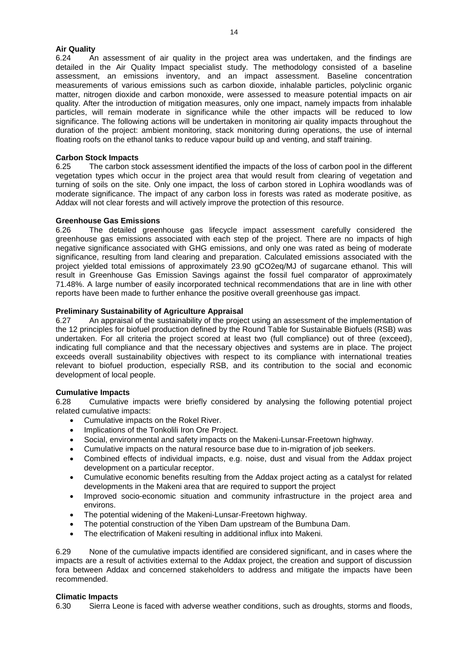#### **Air Quality**

6.24 An assessment of air quality in the project area was undertaken, and the findings are detailed in the Air Quality Impact specialist study. The methodology consisted of a baseline assessment, an emissions inventory, and an impact assessment. Baseline concentration measurements of various emissions such as carbon dioxide, inhalable particles, polyclinic organic matter, nitrogen dioxide and carbon monoxide, were assessed to measure potential impacts on air quality. After the introduction of mitigation measures, only one impact, namely impacts from inhalable particles, will remain moderate in significance while the other impacts will be reduced to low significance. The following actions will be undertaken in monitoring air quality impacts throughout the duration of the project: ambient monitoring, stack monitoring during operations, the use of internal floating roofs on the ethanol tanks to reduce vapour build up and venting, and staff training.

#### **Carbon Stock Impacts**

6.25 The carbon stock assessment identified the impacts of the loss of carbon pool in the different vegetation types which occur in the project area that would result from clearing of vegetation and turning of soils on the site. Only one impact, the loss of carbon stored in Lophira woodlands was of moderate significance. The impact of any carbon loss in forests was rated as moderate positive, as Addax will not clear forests and will actively improve the protection of this resource.

#### **Greenhouse Gas Emissions**

6.26 The detailed greenhouse gas lifecycle impact assessment carefully considered the greenhouse gas emissions associated with each step of the project. There are no impacts of high negative significance associated with GHG emissions, and only one was rated as being of moderate significance, resulting from land clearing and preparation. Calculated emissions associated with the project yielded total emissions of approximately 23.90 gCO2eq/MJ of sugarcane ethanol. This will result in Greenhouse Gas Emission Savings against the fossil fuel comparator of approximately 71.48%. A large number of easily incorporated technical recommendations that are in line with other reports have been made to further enhance the positive overall greenhouse gas impact.

#### **Preliminary Sustainability of Agriculture Appraisal**

6.27 An appraisal of the sustainability of the project using an assessment of the implementation of the 12 principles for biofuel production defined by the Round Table for Sustainable Biofuels (RSB) was undertaken. For all criteria the project scored at least two (full compliance) out of three (exceed), indicating full compliance and that the necessary objectives and systems are in place. The project exceeds overall sustainability objectives with respect to its compliance with international treaties relevant to biofuel production, especially RSB, and its contribution to the social and economic development of local people.

#### **Cumulative Impacts**

6.28 Cumulative impacts were briefly considered by analysing the following potential project related cumulative impacts:

- Cumulative impacts on the Rokel River.
- Implications of the Tonkolili Iron Ore Project.
- Social, environmental and safety impacts on the Makeni-Lunsar-Freetown highway.
- Cumulative impacts on the natural resource base due to in-migration of job seekers.
- Combined effects of individual impacts, e.g. noise, dust and visual from the Addax project development on a particular receptor.
- Cumulative economic benefits resulting from the Addax project acting as a catalyst for related developments in the Makeni area that are required to support the project
- Improved socio-economic situation and community infrastructure in the project area and environs.
- The potential widening of the Makeni-Lunsar-Freetown highway.
- The potential construction of the Yiben Dam upstream of the Bumbuna Dam.
- The electrification of Makeni resulting in additional influx into Makeni.

6.29 None of the cumulative impacts identified are considered significant, and in cases where the impacts are a result of activities external to the Addax project, the creation and support of discussion fora between Addax and concerned stakeholders to address and mitigate the impacts have been recommended.

#### **Climatic Impacts**

6.30 Sierra Leone is faced with adverse weather conditions, such as droughts, storms and floods,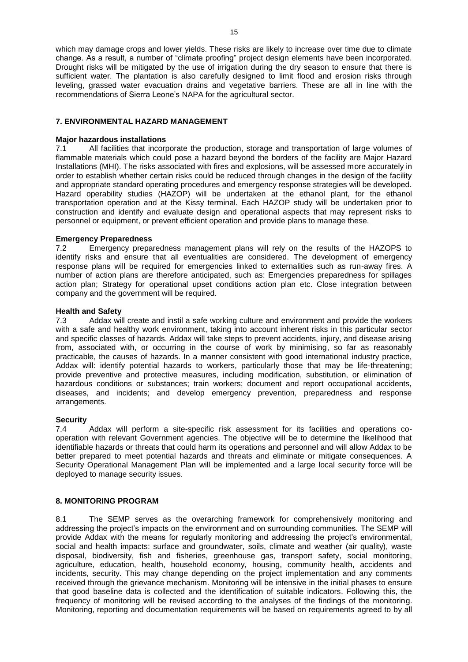which may damage crops and lower yields. These risks are likely to increase over time due to climate change. As a result, a number of "climate proofing" project design elements have been incorporated. Drought risks will be mitigated by the use of irrigation during the dry season to ensure that there is sufficient water. The plantation is also carefully designed to limit flood and erosion risks through leveling, grassed water evacuation drains and vegetative barriers. These are all in line with the recommendations of Sierra Leone's NAPA for the agricultural sector.

# <span id="page-17-0"></span>**7. ENVIRONMENTAL HAZARD MANAGEMENT**

# **Major hazardous installations**

7.1 All facilities that incorporate the production, storage and transportation of large volumes of flammable materials which could pose a hazard beyond the borders of the facility are Major Hazard Installations (MHI). The risks associated with fires and explosions, will be assessed more accurately in order to establish whether certain risks could be reduced through changes in the design of the facility and appropriate standard operating procedures and emergency response strategies will be developed. Hazard operability studies (HAZOP) will be undertaken at the ethanol plant, for the ethanol transportation operation and at the Kissy terminal. Each HAZOP study will be undertaken prior to construction and identify and evaluate design and operational aspects that may represent risks to personnel or equipment, or prevent efficient operation and provide plans to manage these.

# **Emergency Preparedness**

7.2 Emergency preparedness management plans will rely on the results of the HAZOPS to identify risks and ensure that all eventualities are considered. The development of emergency response plans will be required for emergencies linked to externalities such as run-away fires. A number of action plans are therefore anticipated, such as: Emergencies preparedness for spillages action plan; Strategy for operational upset conditions action plan etc. Close integration between company and the government will be required.

# **Health and Safety**

7.3 Addax will create and instil a safe working culture and environment and provide the workers with a safe and healthy work environment, taking into account inherent risks in this particular sector and specific classes of hazards. Addax will take steps to prevent accidents, injury, and disease arising from, associated with, or occurring in the course of work by minimising, so far as reasonably practicable, the causes of hazards. In a manner consistent with good international industry practice, Addax will: identify potential hazards to workers, particularly those that may be life-threatening; provide preventive and protective measures, including modification, substitution, or elimination of hazardous conditions or substances; train workers; document and report occupational accidents, diseases, and incidents; and develop emergency prevention, preparedness and response arrangements.

### **Security**

7.4 Addax will perform a site-specific risk assessment for its facilities and operations cooperation with relevant Government agencies. The objective will be to determine the likelihood that identifiable hazards or threats that could harm its operations and personnel and will allow Addax to be better prepared to meet potential hazards and threats and eliminate or mitigate consequences. A Security Operational Management Plan will be implemented and a large local security force will be deployed to manage security issues.

#### <span id="page-17-1"></span>**8. MONITORING PROGRAM**

8.1 The SEMP serves as the overarching framework for comprehensively monitoring and addressing the project's impacts on the environment and on surrounding communities. The SEMP will provide Addax with the means for regularly monitoring and addressing the project's environmental, social and health impacts: surface and groundwater, soils, climate and weather (air quality), waste disposal, biodiversity, fish and fisheries, greenhouse gas, transport safety, social monitoring, agriculture, education, health, household economy, housing, community health, accidents and incidents, security. This may change depending on the project implementation and any comments received through the grievance mechanism. Monitoring will be intensive in the initial phases to ensure that good baseline data is collected and the identification of suitable indicators. Following this, the frequency of monitoring will be revised according to the analyses of the findings of the monitoring. Monitoring, reporting and documentation requirements will be based on requirements agreed to by all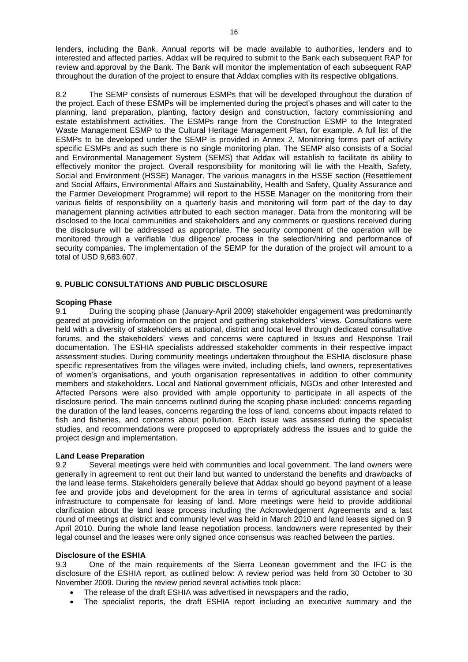lenders, including the Bank. Annual reports will be made available to authorities, lenders and to interested and affected parties. Addax will be required to submit to the Bank each subsequent RAP for review and approval by the Bank. The Bank will monitor the implementation of each subsequent RAP throughout the duration of the project to ensure that Addax complies with its respective obligations.

8.2 The SEMP consists of numerous ESMPs that will be developed throughout the duration of the project. Each of these ESMPs will be implemented during the project"s phases and will cater to the planning, land preparation, planting, factory design and construction, factory commissioning and estate establishment activities. The ESMPs range from the Construction ESMP to the Integrated Waste Management ESMP to the Cultural Heritage Management Plan, for example. A full list of the ESMPs to be developed under the SEMP is provided in Annex 2. Monitoring forms part of activity specific ESMPs and as such there is no single monitoring plan. The SEMP also consists of a Social and Environmental Management System (SEMS) that Addax will establish to facilitate its ability to effectively monitor the project. Overall responsibility for monitoring will lie with the Health, Safety, Social and Environment (HSSE) Manager. The various managers in the HSSE section (Resettlement and Social Affairs, Environmental Affairs and Sustainability, Health and Safety, Quality Assurance and the Farmer Development Programme) will report to the HSSE Manager on the monitoring from their various fields of responsibility on a quarterly basis and monitoring will form part of the day to day management planning activities attributed to each section manager. Data from the monitoring will be disclosed to the local communities and stakeholders and any comments or questions received during the disclosure will be addressed as appropriate. The security component of the operation will be monitored through a verifiable "due diligence" process in the selection/hiring and performance of security companies. The implementation of the SEMP for the duration of the project will amount to a total of USD 9,683,607.

# <span id="page-18-0"></span>**9. PUBLIC CONSULTATIONS AND PUBLIC DISCLOSURE**

#### **Scoping Phase**

9.1 During the scoping phase (January-April 2009) stakeholder engagement was predominantly geared at providing information on the project and gathering stakeholders" views. Consultations were held with a diversity of stakeholders at national, district and local level through dedicated consultative forums, and the stakeholders" views and concerns were captured in Issues and Response Trail documentation. The ESHIA specialists addressed stakeholder comments in their respective impact assessment studies. During community meetings undertaken throughout the ESHIA disclosure phase specific representatives from the villages were invited, including chiefs, land owners, representatives of women"s organisations, and youth organisation representatives in addition to other community members and stakeholders. Local and National government officials, NGOs and other Interested and Affected Persons were also provided with ample opportunity to participate in all aspects of the disclosure period. The main concerns outlined during the scoping phase included: concerns regarding the duration of the land leases, concerns regarding the loss of land, concerns about impacts related to fish and fisheries, and concerns about pollution. Each issue was assessed during the specialist studies, and recommendations were proposed to appropriately address the issues and to guide the project design and implementation.

#### **Land Lease Preparation**

9.2 Several meetings were held with communities and local government. The land owners were generally in agreement to rent out their land but wanted to understand the benefits and drawbacks of the land lease terms. Stakeholders generally believe that Addax should go beyond payment of a lease fee and provide jobs and development for the area in terms of agricultural assistance and social infrastructure to compensate for leasing of land. More meetings were held to provide additional clarification about the land lease process including the Acknowledgement Agreements and a last round of meetings at district and community level was held in March 2010 and land leases signed on 9 April 2010. During the whole land lease negotiation process, landowners were represented by their legal counsel and the leases were only signed once consensus was reached between the parties.

#### **Disclosure of the ESHIA**

9.3 One of the main requirements of the Sierra Leonean government and the IFC is the disclosure of the ESHIA report, as outlined below: A review period was held from 30 October to 30 November 2009. During the review period several activities took place:

- The release of the draft ESHIA was advertised in newspapers and the radio,
- The specialist reports, the draft ESHIA report including an executive summary and the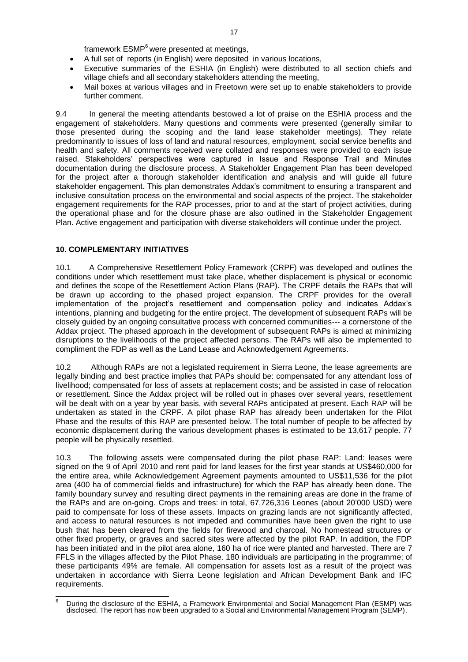framework ESMP<sup>6</sup> were presented at meetings.

- A full set of reports (in English) were deposited in various locations,
- Executive summaries of the ESHIA (in English) were distributed to all section chiefs and village chiefs and all secondary stakeholders attending the meeting,
- Mail boxes at various villages and in Freetown were set up to enable stakeholders to provide further comment.

9.4 In general the meeting attendants bestowed a lot of praise on the ESHIA process and the engagement of stakeholders. Many questions and comments were presented (generally similar to those presented during the scoping and the land lease stakeholder meetings). They relate predominantly to issues of loss of land and natural resources, employment, social service benefits and health and safety. All comments received were collated and responses were provided to each issue raised. Stakeholders" perspectives were captured in Issue and Response Trail and Minutes documentation during the disclosure process. A Stakeholder Engagement Plan has been developed for the project after a thorough stakeholder identification and analysis and will guide all future stakeholder engagement. This plan demonstrates Addax"s commitment to ensuring a transparent and inclusive consultation process on the environmental and social aspects of the project. The stakeholder engagement requirements for the RAP processes, prior to and at the start of project activities, during the operational phase and for the closure phase are also outlined in the Stakeholder Engagement Plan. Active engagement and participation with diverse stakeholders will continue under the project.

# <span id="page-19-0"></span>**10. COMPLEMENTARY INITIATIVES**

10.1 A Comprehensive Resettlement Policy Framework (CRPF) was developed and outlines the conditions under which resettlement must take place, whether displacement is physical or economic and defines the scope of the Resettlement Action Plans (RAP). The CRPF details the RAPs that will be drawn up according to the phased project expansion. The CRPF provides for the overall implementation of the project's resettlement and compensation policy and indicates Addax's intentions, planning and budgeting for the entire project. The development of subsequent RAPs will be closely guided by an ongoing consultative process with concerned communities--- a cornerstone of the Addax project. The phased approach in the development of subsequent RAPs is aimed at minimizing disruptions to the livelihoods of the project affected persons. The RAPs will also be implemented to compliment the FDP as well as the Land Lease and Acknowledgement Agreements.

10.2 Although RAPs are not a legislated requirement in Sierra Leone, the lease agreements are legally binding and best practice implies that PAPs should be: compensated for any attendant loss of livelihood; compensated for loss of assets at replacement costs; and be assisted in case of relocation or resettlement. Since the Addax project will be rolled out in phases over several years, resettlement will be dealt with on a year by year basis, with several RAPs anticipated at present. Each RAP will be undertaken as stated in the CRPF. A pilot phase RAP has already been undertaken for the Pilot Phase and the results of this RAP are presented below. The total number of people to be affected by economic displacement during the various development phases is estimated to be 13,617 people. 77 people will be physically resettled.

10.3 The following assets were compensated during the pilot phase RAP: Land: leases were signed on the 9 of April 2010 and rent paid for land leases for the first year stands at US\$460,000 for the entire area, while Acknowledgement Agreement payments amounted to US\$11,536 for the pilot area (400 ha of commercial fields and infrastructure) for which the RAP has already been done. The family boundary survey and resulting direct payments in the remaining areas are done in the frame of the RAPs and are on-going. Crops and trees: in total, 67,726,316 Leones (about 20"000 USD) were paid to compensate for loss of these assets. Impacts on grazing lands are not significantly affected, and access to natural resources is not impeded and communities have been given the right to use bush that has been cleared from the fields for firewood and charcoal. No homestead structures or other fixed property, or graves and sacred sites were affected by the pilot RAP. In addition, the FDP has been initiated and in the pilot area alone, 160 ha of rice were planted and harvested. There are 7 FFLS in the villages affected by the Pilot Phase. 180 individuals are participating in the programme; of these participants 49% are female. All compensation for assets lost as a result of the project was undertaken in accordance with Sierra Leone legislation and African Development Bank and IFC requirements.

 $\overline{a}$ <sup>6</sup> During the disclosure of the ESHIA, a Framework Environmental and Social Management Plan (ESMP) was disclosed. The report has now been upgraded to a Social and Environmental Management Program (SEMP).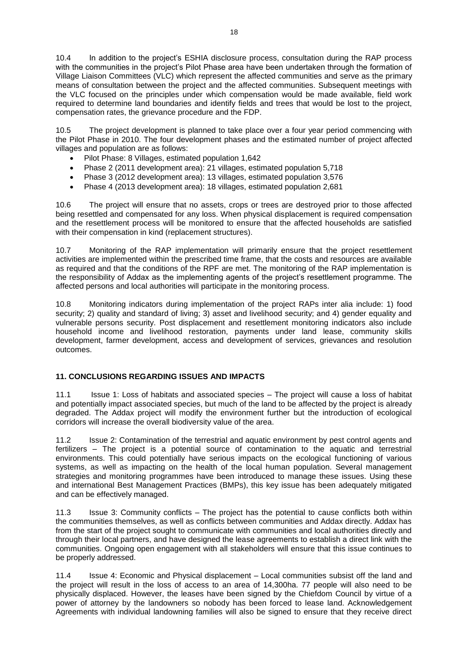10.4 In addition to the project"s ESHIA disclosure process, consultation during the RAP process with the communities in the project's Pilot Phase area have been undertaken through the formation of Village Liaison Committees (VLC) which represent the affected communities and serve as the primary means of consultation between the project and the affected communities. Subsequent meetings with the VLC focused on the principles under which compensation would be made available, field work required to determine land boundaries and identify fields and trees that would be lost to the project, compensation rates, the grievance procedure and the FDP.

10.5 The project development is planned to take place over a four year period commencing with the Pilot Phase in 2010. The four development phases and the estimated number of project affected villages and population are as follows:

- Pilot Phase: 8 Villages, estimated population 1,642
- Phase 2 (2011 development area): 21 villages, estimated population 5,718
- Phase 3 (2012 development area): 13 villages, estimated population 3,576
- Phase 4 (2013 development area): 18 villages, estimated population 2,681

10.6 The project will ensure that no assets, crops or trees are destroyed prior to those affected being resettled and compensated for any loss. When physical displacement is required compensation and the resettlement process will be monitored to ensure that the affected households are satisfied with their compensation in kind (replacement structures).

10.7 Monitoring of the RAP implementation will primarily ensure that the project resettlement activities are implemented within the prescribed time frame, that the costs and resources are available as required and that the conditions of the RPF are met. The monitoring of the RAP implementation is the responsibility of Addax as the implementing agents of the project"s resettlement programme. The affected persons and local authorities will participate in the monitoring process.

10.8 Monitoring indicators during implementation of the project RAPs inter alia include: 1) food security; 2) quality and standard of living; 3) asset and livelihood security; and 4) gender equality and vulnerable persons security. Post displacement and resettlement monitoring indicators also include household income and livelihood restoration, payments under land lease, community skills development, farmer development, access and development of services, grievances and resolution outcomes.

# <span id="page-20-0"></span>**11. CONCLUSIONS REGARDING ISSUES AND IMPACTS**

11.1 Issue 1: Loss of habitats and associated species – The project will cause a loss of habitat and potentially impact associated species, but much of the land to be affected by the project is already degraded. The Addax project will modify the environment further but the introduction of ecological corridors will increase the overall biodiversity value of the area.

11.2 Issue 2: Contamination of the terrestrial and aquatic environment by pest control agents and fertilizers – The project is a potential source of contamination to the aquatic and terrestrial environments. This could potentially have serious impacts on the ecological functioning of various systems, as well as impacting on the health of the local human population. Several management strategies and monitoring programmes have been introduced to manage these issues. Using these and international Best Management Practices (BMPs), this key issue has been adequately mitigated and can be effectively managed.

11.3 Issue 3: Community conflicts – The project has the potential to cause conflicts both within the communities themselves, as well as conflicts between communities and Addax directly. Addax has from the start of the project sought to communicate with communities and local authorities directly and through their local partners, and have designed the lease agreements to establish a direct link with the communities. Ongoing open engagement with all stakeholders will ensure that this issue continues to be properly addressed.

11.4 Issue 4: Economic and Physical displacement – Local communities subsist off the land and the project will result in the loss of access to an area of 14,300ha. 77 people will also need to be physically displaced. However, the leases have been signed by the Chiefdom Council by virtue of a power of attorney by the landowners so nobody has been forced to lease land. Acknowledgement Agreements with individual landowning families will also be signed to ensure that they receive direct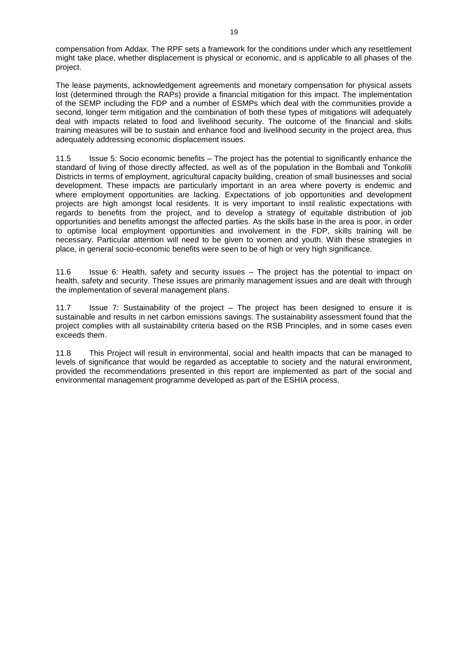compensation from Addax. The RPF sets a framework for the conditions under which any resettlement might take place, whether displacement is physical or economic, and is applicable to all phases of the project.

The lease payments, acknowledgement agreements and monetary compensation for physical assets lost (determined through the RAPs) provide a financial mitigation for this impact. The implementation of the SEMP including the FDP and a number of ESMPs which deal with the communities provide a second, longer term mitigation and the combination of both these types of mitigations will adequately deal with impacts related to food and livelihood security. The outcome of the financial and skills training measures will be to sustain and enhance food and livelihood security in the project area, thus adequately addressing economic displacement issues.

11.5 Issue 5: Socio economic benefits – The project has the potential to significantly enhance the standard of living of those directly affected, as well as of the population in the Bombali and Tonkolili Districts in terms of employment, agricultural capacity building, creation of small businesses and social development. These impacts are particularly important in an area where poverty is endemic and where employment opportunities are lacking. Expectations of job opportunities and development projects are high amongst local residents. It is very important to instil realistic expectations with regards to benefits from the project, and to develop a strategy of equitable distribution of job opportunities and benefits amongst the affected parties. As the skills base in the area is poor, in order to optimise local employment opportunities and involvement in the FDP, skills training will be necessary. Particular attention will need to be given to women and youth. With these strategies in place, in general socio-economic benefits were seen to be of high or very high significance.

11.6 Issue 6: Health, safety and security issues – The project has the potential to impact on health, safety and security. These issues are primarily management issues and are dealt with through the implementation of several management plans.

11.7 Issue 7: Sustainability of the project – The project has been designed to ensure it is sustainable and results in net carbon emissions savings. The sustainability assessment found that the project complies with all sustainability criteria based on the RSB Principles, and in some cases even exceeds them.

11.8 This Project will result in environmental, social and health impacts that can be managed to levels of significance that would be regarded as acceptable to society and the natural environment, provided the recommendations presented in this report are implemented as part of the social and environmental management programme developed as part of the ESHIA process.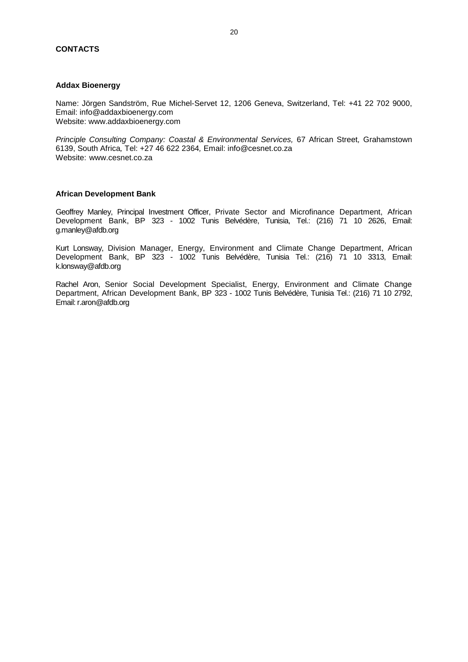# <span id="page-22-0"></span>**CONTACTS**

#### **Addax Bioenergy**

Name: Jörgen Sandström, Rue Michel-Servet 12, 1206 Geneva, Switzerland, Tel: +41 22 702 9000, Email: info@addaxbioenergy.com Website: www.addaxbioenergy.com

*Principle Consulting Company: Coastal & Environmental Services,* 67 African Street*,* Grahamstown 6139, South Africa*,* Tel: +27 46 622 2364*,* Email: info@cesnet.co.za Website: www.cesnet.co.za

#### **African Development Bank**

Geoffrey Manley, Principal Investment Officer, Private Sector and Microfinance Department, African Development Bank, BP 323 - 1002 Tunis Belvédère, Tunisia, Tel.: (216) 71 10 2626, Email: g.manley@afdb.org

Kurt Lonsway, Division Manager, Energy, Environment and Climate Change Department, African Development Bank, BP 323 - 1002 Tunis Belvédère, Tunisia Tel.: (216) 71 10 3313, Email: k.lonsway@afdb.org

Rachel Aron, Senior Social Development Specialist, Energy, Environment and Climate Change Department, African Development Bank, BP 323 - 1002 Tunis Belvédère, Tunisia Tel.: (216) 71 10 2792, Email: r.aron@afdb.org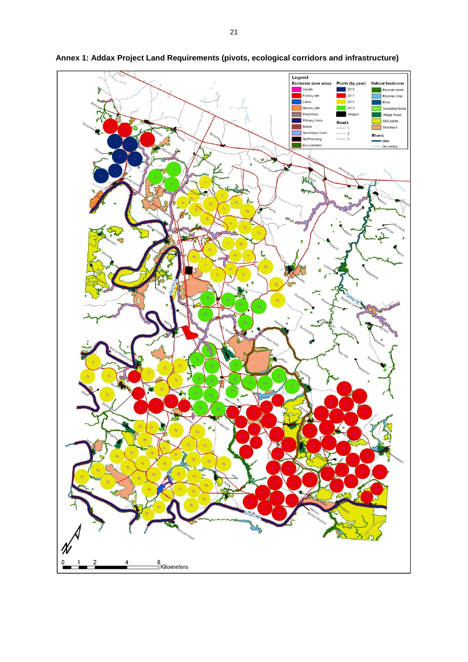